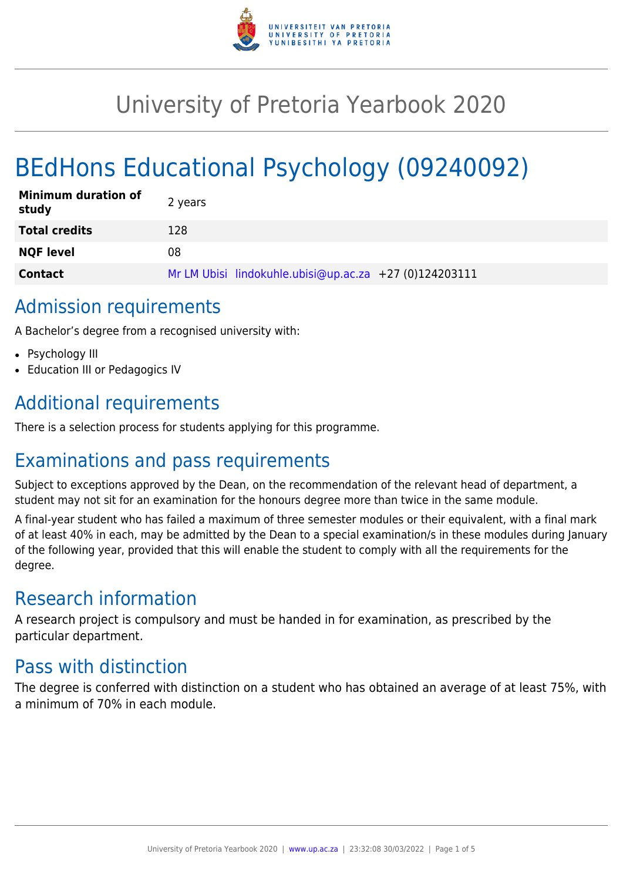

# University of Pretoria Yearbook 2020

# BEdHons Educational Psychology (09240092)

| <b>Minimum duration of</b><br>study | 2 years                                                |
|-------------------------------------|--------------------------------------------------------|
| <b>Total credits</b>                | 128                                                    |
| <b>NQF level</b>                    | 08                                                     |
| <b>Contact</b>                      | Mr LM Ubisi lindokuhle.ubisi@up.ac.za +27 (0)124203111 |

# Admission requirements

A Bachelor's degree from a recognised university with:

- Psychology III
- Education III or Pedagogics IV

# Additional requirements

There is a selection process for students applying for this programme.

# Examinations and pass requirements

Subject to exceptions approved by the Dean, on the recommendation of the relevant head of department, a student may not sit for an examination for the honours degree more than twice in the same module.

A final-year student who has failed a maximum of three semester modules or their equivalent, with a final mark of at least 40% in each, may be admitted by the Dean to a special examination/s in these modules during January of the following year, provided that this will enable the student to comply with all the requirements for the degree.

# Research information

A research project is compulsory and must be handed in for examination, as prescribed by the particular department.

# Pass with distinction

The degree is conferred with distinction on a student who has obtained an average of at least 75%, with a minimum of 70% in each module.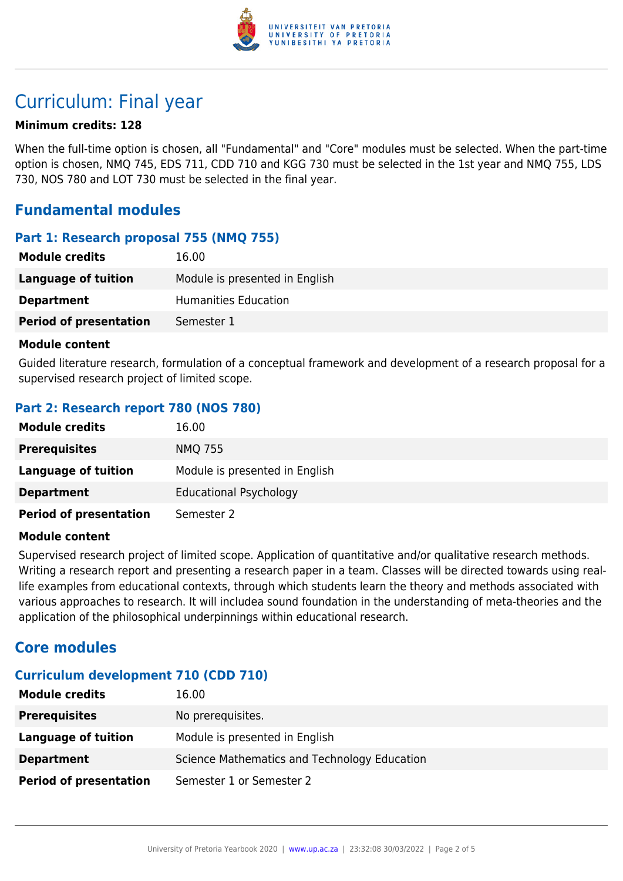

# Curriculum: Final year

### **Minimum credits: 128**

When the full-time option is chosen, all "Fundamental" and "Core" modules must be selected. When the part-time option is chosen, NMQ 745, EDS 711, CDD 710 and KGG 730 must be selected in the 1st year and NMQ 755, LDS 730, NOS 780 and LOT 730 must be selected in the final year.

# **Fundamental modules**

### **Part 1: Research proposal 755 (NMQ 755)**

| <b>Module credits</b>         | 16.00                          |
|-------------------------------|--------------------------------|
| Language of tuition           | Module is presented in English |
| <b>Department</b>             | Humanities Education           |
| <b>Period of presentation</b> | Semester 1                     |

#### **Module content**

Guided literature research, formulation of a conceptual framework and development of a research proposal for a supervised research project of limited scope.

## **Part 2: Research report 780 (NOS 780)**

| <b>Module credits</b>         | 16.00                          |
|-------------------------------|--------------------------------|
| <b>Prerequisites</b>          | <b>NMQ 755</b>                 |
| Language of tuition           | Module is presented in English |
| <b>Department</b>             | <b>Educational Psychology</b>  |
| <b>Period of presentation</b> | Semester 2                     |

### **Module content**

Supervised research project of limited scope. Application of quantitative and/or qualitative research methods. Writing a research report and presenting a research paper in a team. Classes will be directed towards using reallife examples from educational contexts, through which students learn the theory and methods associated with various approaches to research. It will includea sound foundation in the understanding of meta-theories and the application of the philosophical underpinnings within educational research.

# **Core modules**

## **Curriculum development 710 (CDD 710)**

| <b>Module credits</b>         | 16.00                                        |
|-------------------------------|----------------------------------------------|
| <b>Prerequisites</b>          | No prerequisites.                            |
| Language of tuition           | Module is presented in English               |
| <b>Department</b>             | Science Mathematics and Technology Education |
| <b>Period of presentation</b> | Semester 1 or Semester 2                     |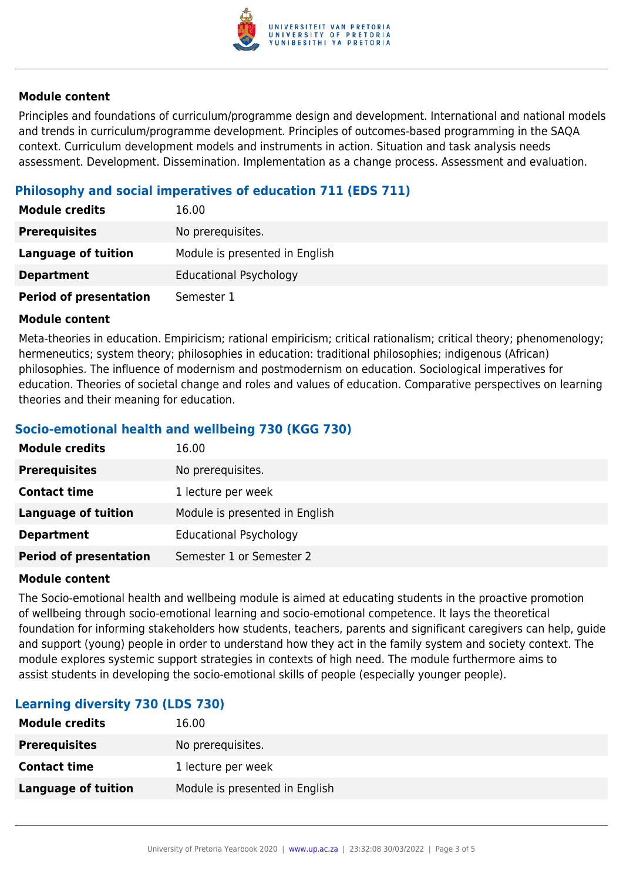

### **Module content**

Principles and foundations of curriculum/programme design and development. International and national models and trends in curriculum/programme development. Principles of outcomes-based programming in the SAQA context. Curriculum development models and instruments in action. Situation and task analysis needs assessment. Development. Dissemination. Implementation as a change process. Assessment and evaluation.

# **Philosophy and social imperatives of education 711 (EDS 711)**

| <b>Module credits</b>         | 16.00                          |
|-------------------------------|--------------------------------|
| <b>Prerequisites</b>          | No prerequisites.              |
| <b>Language of tuition</b>    | Module is presented in English |
| <b>Department</b>             | <b>Educational Psychology</b>  |
| <b>Period of presentation</b> | Semester 1                     |

### **Module content**

Meta-theories in education. Empiricism; rational empiricism; critical rationalism; critical theory; phenomenology; hermeneutics; system theory; philosophies in education: traditional philosophies; indigenous (African) philosophies. The influence of modernism and postmodernism on education. Sociological imperatives for education. Theories of societal change and roles and values of education. Comparative perspectives on learning theories and their meaning for education.

# **Socio-emotional health and wellbeing 730 (KGG 730)**

| <b>Module credits</b>         | 16.00                          |
|-------------------------------|--------------------------------|
| <b>Prerequisites</b>          | No prerequisites.              |
| <b>Contact time</b>           | 1 lecture per week             |
| <b>Language of tuition</b>    | Module is presented in English |
| <b>Department</b>             | <b>Educational Psychology</b>  |
| <b>Period of presentation</b> | Semester 1 or Semester 2       |

### **Module content**

The Socio-emotional health and wellbeing module is aimed at educating students in the proactive promotion of wellbeing through socio-emotional learning and socio-emotional competence. It lays the theoretical foundation for informing stakeholders how students, teachers, parents and significant caregivers can help, guide and support (young) people in order to understand how they act in the family system and society context. The module explores systemic support strategies in contexts of high need. The module furthermore aims to assist students in developing the socio-emotional skills of people (especially younger people).

# **Learning diversity 730 (LDS 730)**

| <b>Module credits</b> | 16.00                          |
|-----------------------|--------------------------------|
| <b>Prerequisites</b>  | No prerequisites.              |
| <b>Contact time</b>   | 1 lecture per week             |
| Language of tuition   | Module is presented in English |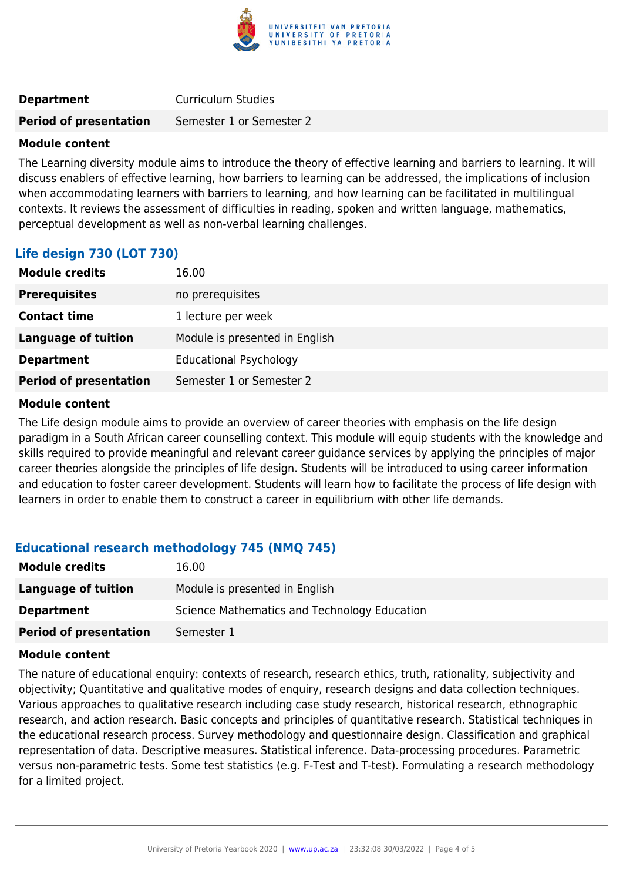

### **Department** Curriculum Studies

#### **Period of presentation** Semester 1 or Semester 2

### **Module content**

The Learning diversity module aims to introduce the theory of effective learning and barriers to learning. It will discuss enablers of effective learning, how barriers to learning can be addressed, the implications of inclusion when accommodating learners with barriers to learning, and how learning can be facilitated in multilingual contexts. It reviews the assessment of difficulties in reading, spoken and written language, mathematics, perceptual development as well as non-verbal learning challenges.

## **Life design 730 (LOT 730)**

| <b>Module credits</b>         | 16.00                          |
|-------------------------------|--------------------------------|
| <b>Prerequisites</b>          | no prerequisites               |
| <b>Contact time</b>           | 1 lecture per week             |
| Language of tuition           | Module is presented in English |
| <b>Department</b>             | <b>Educational Psychology</b>  |
| <b>Period of presentation</b> | Semester 1 or Semester 2       |

#### **Module content**

The Life design module aims to provide an overview of career theories with emphasis on the life design paradigm in a South African career counselling context. This module will equip students with the knowledge and skills required to provide meaningful and relevant career guidance services by applying the principles of major career theories alongside the principles of life design. Students will be introduced to using career information and education to foster career development. Students will learn how to facilitate the process of life design with learners in order to enable them to construct a career in equilibrium with other life demands.

### **Educational research methodology 745 (NMQ 745)**

| <b>Module credits</b>         | 16.00                                        |
|-------------------------------|----------------------------------------------|
| Language of tuition           | Module is presented in English               |
| <b>Department</b>             | Science Mathematics and Technology Education |
| <b>Period of presentation</b> | Semester 1                                   |

#### **Module content**

The nature of educational enquiry: contexts of research, research ethics, truth, rationality, subjectivity and objectivity; Quantitative and qualitative modes of enquiry, research designs and data collection techniques. Various approaches to qualitative research including case study research, historical research, ethnographic research, and action research. Basic concepts and principles of quantitative research. Statistical techniques in the educational research process. Survey methodology and questionnaire design. Classification and graphical representation of data. Descriptive measures. Statistical inference. Data-processing procedures. Parametric versus non-parametric tests. Some test statistics (e.g. F-Test and T-test). Formulating a research methodology for a limited project.